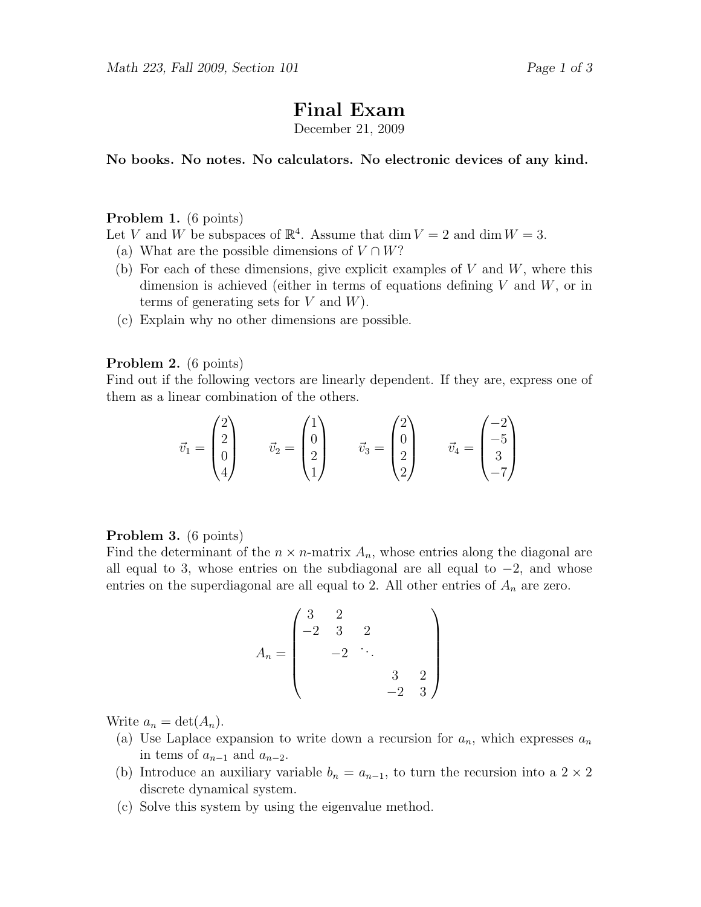# Final Exam

December 21, 2009

No books. No notes. No calculators. No electronic devices of any kind.

#### Problem 1. (6 points)

Let V and W be subspaces of  $\mathbb{R}^4$ . Assume that dim  $V = 2$  and dim  $W = 3$ .

- (a) What are the possible dimensions of  $V \cap W$ ?
- (b) For each of these dimensions, give explicit examples of  $V$  and  $W$ , where this dimension is achieved (either in terms of equations defining  $V$  and  $W$ , or in terms of generating sets for  $V$  and  $W$ ).
- (c) Explain why no other dimensions are possible.

### Problem 2. (6 points)

Find out if the following vectors are linearly dependent. If they are, express one of them as a linear combination of the others.

$$
\vec{v}_1 = \begin{pmatrix} 2 \\ 2 \\ 0 \\ 4 \end{pmatrix} \qquad \vec{v}_2 = \begin{pmatrix} 1 \\ 0 \\ 2 \\ 1 \end{pmatrix} \qquad \vec{v}_3 = \begin{pmatrix} 2 \\ 0 \\ 2 \\ 2 \end{pmatrix} \qquad \vec{v}_4 = \begin{pmatrix} -2 \\ -5 \\ 3 \\ -7 \end{pmatrix}
$$

#### Problem 3. (6 points)

Find the determinant of the  $n \times n$ -matrix  $A_n$ , whose entries along the diagonal are all equal to 3, whose entries on the subdiagonal are all equal to  $-2$ , and whose entries on the superdiagonal are all equal to 2. All other entries of  $A_n$  are zero.

$$
A_n = \begin{pmatrix} 3 & 2 & & & \\ -2 & 3 & 2 & & \\ & -2 & \ddots & & \\ & & & 3 & 2 \\ & & & & -2 & 3 \end{pmatrix}
$$

Write  $a_n = \det(A_n)$ .

- (a) Use Laplace expansion to write down a recursion for  $a_n$ , which expresses  $a_n$ in tems of  $a_{n-1}$  and  $a_{n-2}$ .
- (b) Introduce an auxiliary variable  $b_n = a_{n-1}$ , to turn the recursion into a 2 × 2 discrete dynamical system.
- (c) Solve this system by using the eigenvalue method.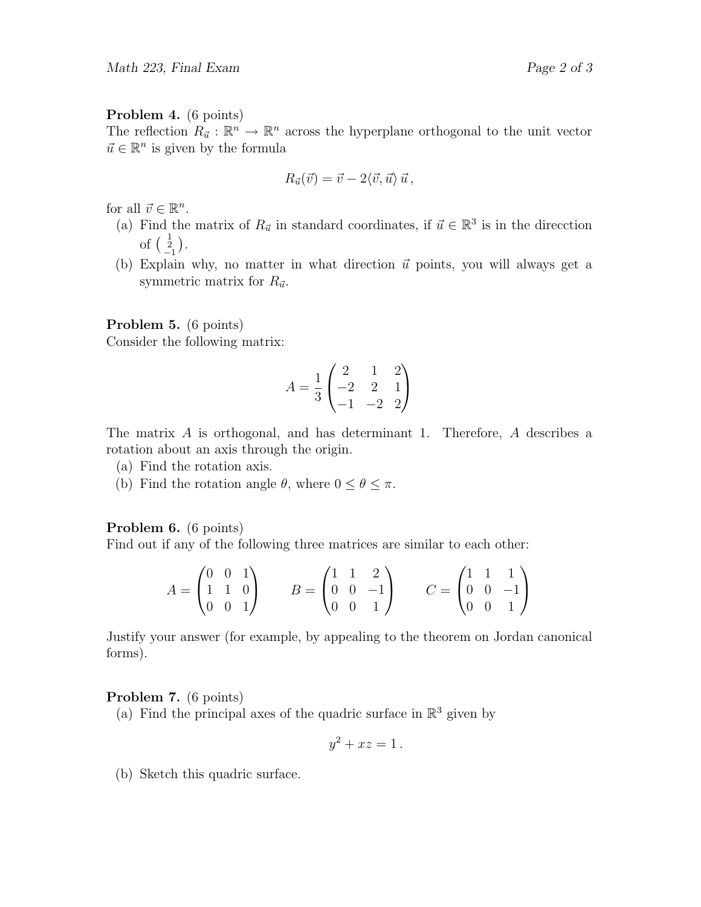## Problem 4. (6 points)

The reflection  $R_{\vec{u}} : \mathbb{R}^n \to \mathbb{R}^n$  across the hyperplane orthogonal to the unit vector  $\vec{u} \in \mathbb{R}^n$  is given by the formula

$$
R_{\vec{u}}(\vec{v}) = \vec{v} - 2\langle \vec{v}, \vec{u} \rangle \vec{u},
$$

for all  $\vec{v} \in \mathbb{R}^n$ .

- (a) Find the matrix of  $R_{\vec{u}}$  in standard coordinates, if  $\vec{u} \in \mathbb{R}^3$  is in the direcction of  $\begin{pmatrix} 1 \\ 2 \\ -1 \end{pmatrix}$ .
- (b) Explain why, no matter in what direction  $\vec{u}$  points, you will always get a symmetric matrix for  $R_{\vec{u}}$ .

# Problem 5. (6 points)

Consider the following matrix:

$$
A = \frac{1}{3} \begin{pmatrix} 2 & 1 & 2 \\ -2 & 2 & 1 \\ -1 & -2 & 2 \end{pmatrix}
$$

The matrix A is orthogonal, and has determinant 1. Therefore, A describes a rotation about an axis through the origin.

- (a) Find the rotation axis.
- (b) Find the rotation angle  $\theta$ , where  $0 \leq \theta \leq \pi$ .

# Problem 6. (6 points)

Find out if any of the following three matrices are similar to each other:

$$
A = \begin{pmatrix} 0 & 0 & 1 \\ 1 & 1 & 0 \\ 0 & 0 & 1 \end{pmatrix} \qquad B = \begin{pmatrix} 1 & 1 & 2 \\ 0 & 0 & -1 \\ 0 & 0 & 1 \end{pmatrix} \qquad C = \begin{pmatrix} 1 & 1 & 1 \\ 0 & 0 & -1 \\ 0 & 0 & 1 \end{pmatrix}
$$

Justify your answer (for example, by appealing to the theorem on Jordan canonical forms).

### Problem 7. (6 points)

(a) Find the principal axes of the quadric surface in  $\mathbb{R}^3$  given by

$$
y^2 + xz = 1.
$$

(b) Sketch this quadric surface.